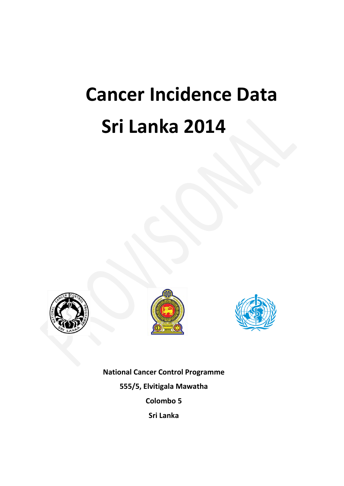# **Cancer Incidence Data Sri Lanka 2014**







**National Cancer Control Programme 555/5, Elvitigala Mawatha Colombo 5 Sri Lanka**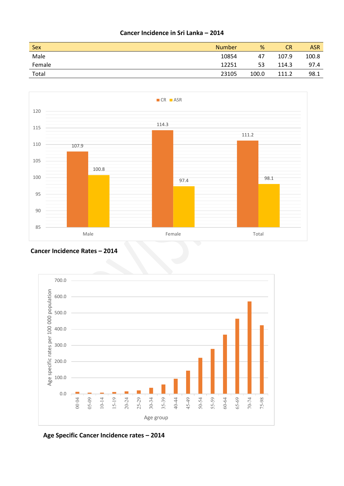#### **Cancer Incidence in Sri Lanka – 2014**

| Sex    | <b>Number</b> | %     | <b>CR</b> | <b>ASR</b> |
|--------|---------------|-------|-----------|------------|
| Male   | 10854         | 47    | 107.9     | 100.8      |
| Female | 12251         | 53    | 114.3     | 97.4       |
| Total  | 23105         | 100.0 | 111.2     | 98.1       |



#### **Cancer Incidence Rates – 2014**



 **Age Specific Cancer Incidence rates – 2014**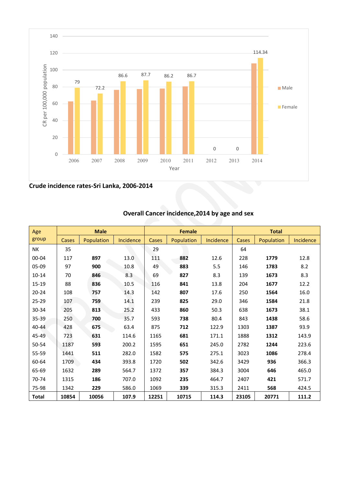

**Crude incidence rates-Sri Lanka, 2006-2014**

| Age          |       | <b>Male</b> |           |           | <b>Female</b> |           | <b>Total</b> |            |           |  |  |  |
|--------------|-------|-------------|-----------|-----------|---------------|-----------|--------------|------------|-----------|--|--|--|
| group        | Cases | Population  | Incidence | Cases     | Population    | Incidence | Cases        | Population | Incidence |  |  |  |
| NΚ           | 35    |             |           | 29        |               |           | 64           |            |           |  |  |  |
| 00-04        | 117   | 897         | 13.0      | 111       | 882           | 12.6      | 228          | 1779       | 12.8      |  |  |  |
| 05-09        | 97    | 900         | 10.8      | 883<br>49 |               | 5.5       | 146          | 1783       | 8.2       |  |  |  |
| $10 - 14$    | 70    | 846         | 8.3       | 69        | 827           | 8.3       | 139          | 1673       | 8.3       |  |  |  |
| 15-19        | 88    | 836         | 10.5      | 116       | 841           | 13.8      | 204          | 1677       | 12.2      |  |  |  |
| $20 - 24$    | 108   | 757         | 14.3      | 142       | 807           | 17.6      | 250          | 1564       | 16.0      |  |  |  |
| 25-29        | 107   | 759         | 14.1      | 239       | 825           | 29.0      | 346          | 1584       | 21.8      |  |  |  |
| 30-34        | 205   | 813         | 25.2      | 433       | 860           | 50.3      | 638          | 1673       | 38.1      |  |  |  |
| 35-39        | 250   | 700         | 35.7      | 593       | 738           | 80.4      | 843          | 1438       | 58.6      |  |  |  |
| 40-44        | 428   | 675         | 63.4      | 875       | 712           | 122.9     | 1303         | 1387       | 93.9      |  |  |  |
| 45-49        | 723   | 631         | 114.6     | 1165      | 681           | 171.1     | 1888         | 1312       | 143.9     |  |  |  |
| 50-54        | 1187  | 593         | 200.2     | 1595      | 651           | 245.0     | 2782         | 1244       | 223.6     |  |  |  |
| 55-59        | 1441  | 511         | 282.0     | 1582      | 575           | 275.1     | 3023         | 1086       | 278.4     |  |  |  |
| 60-64        | 1709  | 434         | 393.8     | 1720      | 502           | 342.6     | 3429         | 936        | 366.3     |  |  |  |
| 65-69        | 1632  | 289         | 564.7     | 1372      | 357           | 384.3     | 3004         | 646        | 465.0     |  |  |  |
| 70-74        | 1315  | 186         | 707.0     | 1092      | 235           | 464.7     | 2407         | 421        | 571.7     |  |  |  |
| 75-98        | 1342  | 229         | 586.0     | 1069      | 339           | 315.3     | 2411         | 568        | 424.5     |  |  |  |
| <b>Total</b> | 10854 | 10056       | 107.9     | 12251     | 10715         | 114.3     | 23105        | 20771      | 111.2     |  |  |  |

## **Overall Cancer incidence,2014 by age and sex**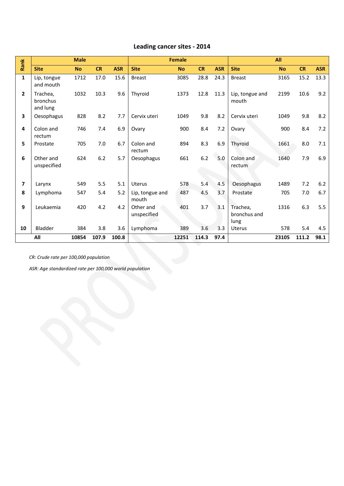### **Leading cancer sites - 2014**

| Rank         |                                  | <b>Male</b> |       |            |                          | <b>Female</b> |           |            |                                  | All       |           |            |  |  |  |  |  |
|--------------|----------------------------------|-------------|-------|------------|--------------------------|---------------|-----------|------------|----------------------------------|-----------|-----------|------------|--|--|--|--|--|
|              | <b>Site</b>                      | <b>No</b>   | CR    | <b>ASR</b> | <b>Site</b>              | <b>No</b>     | <b>CR</b> | <b>ASR</b> | <b>Site</b>                      | <b>No</b> | <b>CR</b> | <b>ASR</b> |  |  |  |  |  |
| $\mathbf{1}$ | Lip, tongue<br>and mouth         | 1712        | 17.0  | 15.6       | <b>Breast</b>            | 3085          | 28.8      | 24.3       | <b>Breast</b>                    | 3165      | 15.2      | 13.3       |  |  |  |  |  |
| $\mathbf{2}$ | Trachea,<br>bronchus<br>and lung | 1032        | 10.3  | 9.6        | Thyroid                  | 1373          | 12.8      | 11.3       | Lip, tongue and<br>mouth         | 2199      | 10.6      | 9.2        |  |  |  |  |  |
| 3            | Oesophagus                       | 828         | 8.2   | 7.7        | Cervix uteri             | 1049          | 9.8       | 8.2        | Cervix uteri                     | 1049      | 9.8       | 8.2        |  |  |  |  |  |
| 4            | Colon and<br>rectum              | 746         | 7.4   | 6.9        | Ovary                    | 900           | 8.4       | 7.2        | Ovary                            | 900       | 8.4       | 7.2        |  |  |  |  |  |
| 5            | Prostate                         | 705         | 7.0   | 6.7        | Colon and<br>rectum      | 894           | 8.3       | 6.9        | Thyroid                          | 1661      | 8.0       | 7.1        |  |  |  |  |  |
| 6            | Other and<br>unspecified         | 624         | 6.2   | 5.7        | Oesophagus               | 661           | 6.2       | 5.0        | Colon and<br>rectum              | 1640      | 7.9       | 6.9        |  |  |  |  |  |
| 7            | Larynx                           | 549         | 5.5   | 5.1        | Uterus                   | 578           | 5.4       | 4.5        | Oesophagus                       | 1489      | 7.2       | 6.2        |  |  |  |  |  |
| 8            | Lymphoma                         | 547         | 5.4   | 5.2        | Lip, tongue and<br>mouth | 487           | 4.5       | 3.7        | Prostate                         | 705       | 7.0       | 6.7        |  |  |  |  |  |
| 9            | Leukaemia                        | 420         | 4.2   | 4.2        | Other and<br>unspecified | 401           | 3.7       | 3.1        | Trachea,<br>bronchus and<br>lung | 1316      | 6.3       | 5.5        |  |  |  |  |  |
| 10           | Bladder                          | 384         | 3.8   | 3.6        | Lymphoma                 | 389           | 3.6       | 3.3        | <b>Uterus</b>                    | 578       | 5.4       | 4.5        |  |  |  |  |  |
|              | All                              | 10854       | 107.9 | 100.8      |                          | 12251         | 114.3     | 97.4       |                                  | 23105     | 111.2     | 98.1       |  |  |  |  |  |

*CR: Crude rate per 100,000 population*

*ASR: Age standardized rate per 100,000 world population*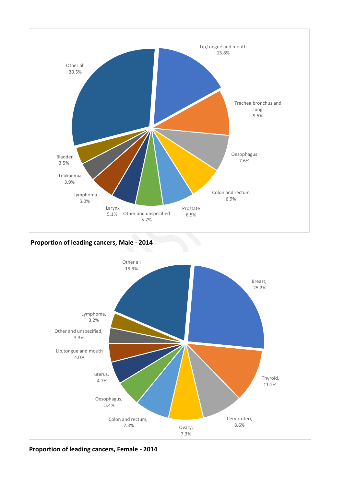

**Proportion of leading cancers, Male - 2014**



**Proportion of leading cancers, Female - 2014**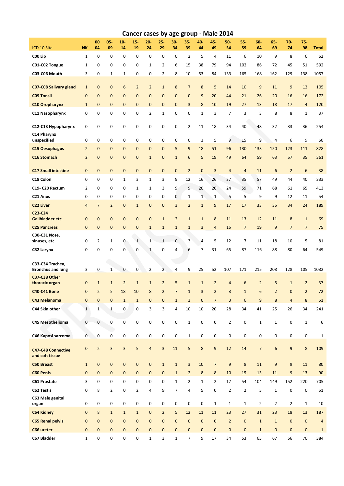|                                              |                |                |                |                |                |                         |                |                |                         |                |                | Cancer cases by age group - Male 2014 |                 |                |                 |                |                  |              |
|----------------------------------------------|----------------|----------------|----------------|----------------|----------------|-------------------------|----------------|----------------|-------------------------|----------------|----------------|---------------------------------------|-----------------|----------------|-----------------|----------------|------------------|--------------|
| ICD 10 Site                                  | <b>NK</b>      | 00<br>04       | 05-<br>09      | $10 -$<br>14   | $15 -$<br>19   | $20 -$<br>24            | $25 -$<br>29   | $30 -$<br>34   | $35 -$<br>39            | 40-<br>44      | 45-<br>49      | 50-<br>54                             | $55-$<br>59     | $60 -$<br>64   | $65 -$<br>69    | $70 -$<br>74   | $75 -$<br>98     | <b>Total</b> |
| C00 Lip                                      | $\mathbf{1}$   | $\mathbf 0$    | 0              | 0              | 0              | 0                       | $\mathbf 0$    | 0              | $\overline{2}$          | 5              | 4              | 11                                    | 6               | 10             | 9               | 8              | 6                | 62           |
| C01-C02 Tongue                               | 1              | 0              | 0              | 0              | 0              | $\mathbf{1}$            | 2              | 6              | 15                      | 38             | 79             | 94                                    | 102             | 86             | 72              | 45             | 51               | 592          |
| C03-C06 Mouth                                | 3              | 0              | $1\,$          | $\mathbf{1}$   | 0              | 0                       | $\overline{2}$ | 8              | 10                      | 53             | 84             | 133                                   | 165             | 168            | 162             | 129            | 138              | 1057         |
| <b>C07-C08 Salivary gland</b>                | $\mathbf{1}$   | $\mathbf 0$    | $\mathbf{0}$   | 6              | $\overline{2}$ | $\overline{2}$          | $1\,$          | 8              | $\overline{7}$          | 8              | 5              | 14                                    | 10              | 9              | 11              | 9              | 12               | 105          |
| <b>C09 Tonsil</b>                            | $\mathbf 0$    | $\mathbf{0}$   | $\mathbf{0}$   | $\mathbf{0}$   | $\mathbf{0}$   | $\mathbf{0}$            | $\mathbf{0}$   | $\mathbf{0}$   | $\mathbf{0}$            | 9              | 20             | 44                                    | 21              | 26             | 20              | 16             | 16               | 172          |
| <b>C10 Oropharynx</b>                        | $\mathbf{1}$   | $\mathbf{0}$   | $\mathbf{0}$   | $\mathbf{0}$   | 0              | $\mathbf 0$             | $\mathbf{0}$   | $\mathbf 0$    | 3                       | 8              | 10             | 19                                    | 27              | 13             | 18              | 17             | $\overline{4}$   | 120          |
| C11 Nasopharynx                              | 0              | 0              | $\pmb{0}$      | 0              | 0              | $\overline{2}$          | $\mathbf{1}$   | 0              | 0                       | $\mathbf 1$    | 3              | 7                                     | 3               | 3              | 8               | 8              | $1\,$            | 37           |
| C12-C13 Hypopharynx                          | 0              | 0              | $\mathbf 0$    | 0              | 0              | 0                       | $\mathbf 0$    | 0              | $\overline{2}$          | 11             | 18             | 34                                    | 40              | 48             | 32              | 33             | 36               | 254          |
| C14 Pharynx<br>unspecified                   | 0              | $\mathbf 0$    | $\mathbf 0$    | 0              | 0              | 0                       | $\mathbf 0$    | 0              | $\mathbf 0$             | 3              | 5              | 9                                     | 15              | 9              | $\sqrt{4}$      | 6              | 9                | 60           |
| <b>C15 Oesophagus</b>                        | $\overline{2}$ | $\mathbf{0}$   | $\mathbf{0}$   | $\mathbf{0}$   | $\overline{0}$ | $\mathbf 0$             | $\mathbf{0}$   | 5              | 9                       | 18             | 51             | 96                                    | 130             | 133            | 150             | 123            | 111              | 828          |
| <b>C16 Stomach</b>                           | $\overline{2}$ | $\mathbf{0}$   | $\mathbf{0}$   | $\mathbf{0}$   | $\mathbf 0$    | $\mathbf{1}$            | $\mathbf{0}$   | $\mathbf{1}$   | $6\phantom{1}6$         | 5              | 19             | 49                                    | 64              | 59             | 63              | 57             | 35               | 361          |
| <b>C17 Small intestine</b>                   | $\mathbf 0$    | $\mathbf 0$    | $\bf 0$        | $\mathbf{0}$   | 0              | $\pmb{0}$               | $\mathbf{0}$   | $\mathbf 0$    | $\overline{2}$          | $\mathbf{0}$   | 3              | $\overline{4}$                        | $\overline{4}$  | 11             | $6\phantom{1}6$ | $\overline{2}$ | $\boldsymbol{6}$ | 38           |
| C18 Colon                                    | 0              | 0              | 0              | $\mathbf{1}$   | 3              | $\mathbf{1}$            | 3              | 9              | 12                      | 16             | 26             | 37                                    | 35              | 57             | 49              | 44             | 40               | 333          |
| C19- C20 Rectum                              | $\overline{2}$ | 0              | 0              | 0              | $\mathbf{1}$   | $\mathbf{1}$            | 3              | 9              | 9                       | 20             | 20             | 24                                    | 59              | 71             | 68              | 61             | 65               | 413          |
| C21 Anus                                     | 0              | 0              | 0              | 0              | 0              | 0                       | 0              | 0              | 1                       | $\mathbf{1}$   | $\mathbf{1}$   | 5                                     | 5               | 9              | 9               | 12             | 11               | 54           |
| <b>C22 Liver</b>                             | $\overline{4}$ | $\overline{7}$ | $\overline{2}$ | $\mathbf{0}$   | $\mathbf{1}$   | $\mathbf 0$             | $\mathbf{0}$   | 3              | $\overline{2}$          | $\mathbf{1}$   | 9              | 17                                    | 17              | 33             | 35              | 34             | 24               | 189          |
| C23-C24<br>Gallbladder etc.                  | $\mathbf 0$    | $\mathbf 0$    | $\mathbf{0}$   | $\mathbf{0}$   | 0              | $\mathbf 0$             | $\mathbf 1$    | $\overline{2}$ | $\mathbf{1}$            | $\mathbf{1}$   | 8              | 11                                    | 13              | 12             | 11              | 8              | $\mathbf{1}$     | 69           |
| <b>C25 Pancreas</b>                          | $\mathbf{0}$   | $\mathbf{0}$   | $\mathbf{0}$   | $\mathbf{0}$   | $\mathbf 0$    | $\mathbf{1}$            | $\mathbf{1}$   | $\mathbf{1}$   | $\mathbf{1}$            | 3              | $\overline{4}$ | 15                                    | $\overline{7}$  | 19             | 9               | $\overline{7}$ | $\overline{7}$   | 75           |
| C30-C31 Nose,<br>sinuses, etc.               | 0              | $\overline{2}$ | $\mathbf{1}$   | 0              | $\mathbf{1}$   | $\mathbf{1}$            | $\mathbf{1}$   | $\mathbf{0}$   | $\overline{3}$          | 4              | 5              | 12                                    | $\overline{7}$  | 11             | 18              | 10             | 5                | 81           |
| C32 Larynx                                   | 0              | 0              | 0              | $\mathbf 0$    | 0              | $\mathbf{1}$            | 0              | 4              | 6                       | $\overline{7}$ | 31             | 65                                    | 87              | 116            | 88              | 80             | 64               | 549          |
| C33-C34 Trachea,<br><b>Bronchus and lung</b> | 3              | 0              | $1\,$          | 0              | 0              | $\overline{2}$          | $\overline{2}$ | $\sqrt{4}$     | 9                       | 25             | 52             | 107                                   | 171             | 215            | 208             | 128            | 105              | 1032         |
| C37-C38 Other<br>thoracic organ              | $\mathbf 0$    | $1\,$          | $\mathbf{1}$   | $\overline{2}$ | $\mathbf{1}$   | $\mathbf 1$             | $\overline{2}$ | 5              | $\mathbf 1$             | $\mathbf{1}$   | $\overline{2}$ | $\overline{4}$                        | $6\phantom{1}6$ | $\overline{2}$ | 5               | $\mathbf{1}$   | $\overline{2}$   | 37           |
| C40-C41 Bone                                 | 0              | $\overline{2}$ | 5              | 18             | 10             | 8                       | $\overline{2}$ | $\overline{7}$ | $\mathbf 1$             | 3              | $\overline{2}$ | 3                                     | $\mathbf 1$     | 6              | $\overline{2}$  | $\pmb{0}$      | $\overline{2}$   | 72           |
| C43 Melanoma                                 | 0              | $\mathbf{0}$   | $\mathbf{0}$   | $\mathbf{1}$   | $\mathbf{1}$   | $\mathbf 0$             | $\mathbf 0$    | $\mathbf{1}$   | $\overline{3}$          | $\mathbf 0$    | $\overline{7}$ | 3                                     | $6\phantom{1}6$ | 9              | $\bf 8$         | $\overline{4}$ | $\bf 8$          | 51           |
| C44 Skin other                               | $1\,$          | $\mathbf{1}$   | $\mathbf 1$    | 0              | 0              | 3                       | 3              | 4              | 10                      | 10             | 20             | 28                                    | 34              | 41             | 25              | 26             | 34               | 241          |
| C45 Mesothelioma                             | 0              | $\mathbf 0$    | $\pmb{0}$      | 0              | 0              | 0                       | $\pmb{0}$      | $\pmb{0}$      | $\mathbf 1$             | $\pmb{0}$      | 0              | $\overline{2}$                        | $\pmb{0}$       | $1\,$          | $\mathbf 1$     | 0              | $\mathbf{1}$     | 6            |
| C46 Kaposi sarcoma                           | 0              | $\pmb{0}$      | $\pmb{0}$      | 0              | 0              | 0                       | $\pmb{0}$      | $\pmb{0}$      | $\mathbf{1}$            | $\pmb{0}$      | 0              | $\pmb{0}$                             | $\pmb{0}$       | 0              | $\pmb{0}$       | 0              | $\pmb{0}$        | $\mathbf{1}$ |
| <b>C47-C48 Connective</b><br>and soft tissue | 0              | $\overline{2}$ | 3              | 3              | 5              | $\overline{\mathbf{4}}$ | 3              | 11             | 5                       | $\bf 8$        | 9              | 12                                    | 14              | $\overline{7}$ | $6\phantom{1}6$ | 9              | $\bf 8$          | 109          |
| <b>C50 Breast</b>                            | $\mathbf{1}$   | $\mathbf{0}$   | $\bf 0$        | $\pmb{0}$      | 0              | $\pmb{0}$               | $1\,$          | $\mathbf{1}$   | $\overline{\mathbf{3}}$ | 10             | $\overline{7}$ | $9$                                   | $\bf 8$         | 11             | $9$             | 9              | 11               | 80           |
| <b>C60 Penis</b>                             | $\pmb{0}$      | $\mathbf{0}$   | $\bf 0$        | $\mathbf{0}$   | 0              | $\pmb{0}$               | $\mathbf{0}$   | $\mathbf{1}$   | $\overline{2}$          | $\bf 8$        | 8              | 10                                    | 15              | 13             | 11              | 9              | 13               | 90           |
| <b>C61 Prostate</b>                          | 3              | 0              | $\mathbf 0$    | 0              | 0              | 0                       | $\mathbf 0$    | $\mathbf{1}$   | $\overline{2}$          | $\mathbf{1}$   | $\overline{2}$ | 17                                    | 54              | 104            | 149             | 152            | 220              | 705          |
| <b>C62 Testis</b>                            | 0              | 8              | $\overline{2}$ | 0              | $\overline{2}$ | 4                       | 9              | $\overline{7}$ | $\overline{4}$          | 5              | 0              | $\overline{2}$                        | $\overline{2}$  | 5              | $\mathbf 1$     | 0              | 0                | 51           |
| C63 Male genital<br>organ                    | 0              | 0              | 0              | 0              | 0              | 0                       | 0              | 0              | 0                       | $\bf{0}$       | $\mathbf{1}$   | $\mathbf{1}$                          | $\mathbf 1$     | $\overline{2}$ | $\overline{2}$  | $\overline{2}$ | $\mathbf 1$      | 10           |
| C64 Kidney                                   | $\mathbf{0}$   | 8              | $1\,$          | $\mathbf{1}$   | $\mathbf{1}$   | $\pmb{0}$               | $\overline{2}$ | 5              | 12                      | 11             | 11             | 23                                    | 27              | 31             | 23              | 18             | 13               | 187          |
| <b>C65 Renal pelvis</b>                      | 0              | $\mathbf 0$    | $\bf 0$        | $\mathbf{0}$   | 0              | $\mathbf{0}$            | $\mathbf{0}$   | $\mathbf 0$    | $\mathbf{0}$            | $\mathbf{0}$   | $\mathbf 0$    | $\overline{2}$                        | $\pmb{0}$       | $\mathbf{1}$   | $\mathbf{1}$    | $\pmb{0}$      | $\pmb{0}$        | $\sqrt{4}$   |
| C66 ureter                                   | 0              | $\pmb{0}$      | $\mathbf 0$    | $\mathbf 0$    | $\mathbf{0}$   | $\pmb{0}$               | $\pmb{0}$      | $\mathbf 0$    | $\mathbf 0$             | $\mathbf 0$    | $\pmb{0}$      | $\pmb{0}$                             | $\pmb{0}$       | $1\,$          | $\bf 0$         | $\pmb{0}$      | $\pmb{0}$        | $\mathbf{1}$ |
| C67 Bladder                                  | $\mathbf{1}$   | 0              | 0              | 0              | 0              | $\mathbf{1}$            | 3              | $\mathbf{1}$   | 7                       | 9              | 17             | 34                                    | 53              | 65             | 67              | 56             | 70               | 384          |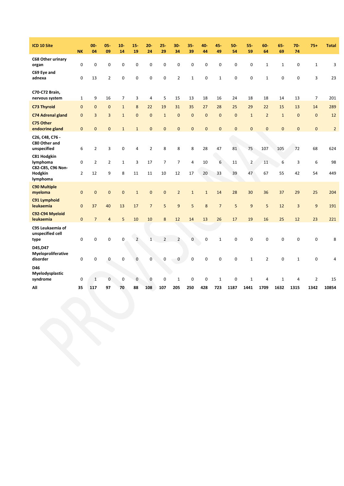| ICD 10 Site                                             | <b>NK</b>           | $00 -$<br>04         | $05 -$<br>09        | $10 -$<br>14      | $15 -$<br>19   | $20 -$<br>24   | $25 -$<br>29         | $30 -$<br>34         | $35 -$<br>39         | 40-<br>44   | $45 -$<br>49   | 50<br>54     | $55 -$<br>59         | $60 -$<br>64   | 65.<br>69    | $70 -$<br>74   | $75 +$         | <b>Total</b>   |
|---------------------------------------------------------|---------------------|----------------------|---------------------|-------------------|----------------|----------------|----------------------|----------------------|----------------------|-------------|----------------|--------------|----------------------|----------------|--------------|----------------|----------------|----------------|
| C68 Other urinary<br>organ                              | $\mathbf 0$         | $\mathbf 0$          | 0                   | 0                 | $\mathbf 0$    | 0              | $\mathbf 0$          | $\mathbf 0$          | $\mathbf 0$          | 0           | 0              | $\mathbf 0$  | 0                    | $\mathbf{1}$   | $\mathbf{1}$ | 0              | $\mathbf{1}$   | 3              |
| C69 Eye and<br>adnexa                                   | 0                   | 13                   | $\overline{2}$      | $\pmb{0}$         | $\mathbf 0$    | $\pmb{0}$      | $\mathbf 0$          | $\overline{2}$       | $\mathbf 1$          | $\mathbf 0$ | $\mathbf{1}$   | 0            | 0                    | $\mathbf{1}$   | $\mathbf 0$  | 0              | 3              | 23             |
| C70-C72 Brain,<br>nervous system                        | $\mathbf{1}$        | 9                    | 16                  | $\overline{7}$    | 3              | $\overline{4}$ | 5                    | 15                   | 13                   | 18          | 16             | 24           | 18                   | 18             | 14           | 13             | $\overline{7}$ | 201            |
| <b>C73 Thyroid</b>                                      | 0                   | $\overline{0}$       | $\mathbf 0$         | $\mathbf{1}$      | 8              | 22             | 19                   | 31                   | 35                   | 27          | 28             | 25           | 29                   | 22             | 15           | 13             | 14             | 289            |
| <b>C74 Adrenal gland</b>                                | $\mathbf 0$         | $\overline{3}$       | 3                   | $\mathbf{1}$      | $\overline{0}$ | $\overline{0}$ | $\mathbf 1$          | $\overline{0}$       | $\mathbf{0}$         | $\mathbf 0$ | $\overline{0}$ | $\mathbf{0}$ | $\mathbf{1}$         | $\overline{2}$ | $\mathbf{1}$ | $\overline{0}$ | $\Omega$       | 12             |
| C75 Other<br>endocrine gland                            | $\pmb{0}$           | $\mathbf 0$          | $\mathbf{0}$        | $\mathbf{1}$      | $\mathbf 1$    | $\mathbf{0}$   | $\mathbf{0}$         | $\mathbf{0}$         | $\mathbf{0}$         | $\mathbf 0$ | $\mathbf{0}$   | $\mathbf{0}$ | $\mathbf 0$          | $\mathbf{0}$   | $\mathbf{0}$ | $\mathbf{0}$   | $\mathbf{0}$   | $\overline{2}$ |
| C26, C48, C76 -<br>C80 Other and<br>unspecified         | 6                   | $\overline{2}$       | 3                   | $\pmb{0}$         | 4              | $\overline{2}$ | 8                    | 8                    | 8                    | 28          | 47             | 81           | 75                   | 107            | 105          | 72             | 68             | 624            |
| C81 Hodgkin<br>lymphoma<br>C82-C85, C96 Non-<br>Hodgkin | 0<br>$\overline{2}$ | $\overline{2}$<br>12 | $\overline{2}$<br>9 | $\mathbf{1}$<br>8 | 3<br>11        | 17<br>11       | $\overline{7}$<br>10 | $\overline{7}$<br>12 | $\overline{4}$<br>17 | 10<br>20    | 6<br>33        | 11<br>39     | $\overline{2}$<br>47 | 11<br>67       | 6<br>55      | 3<br>42        | 6<br>54        | 98<br>449      |
| lymphoma<br><b>C90 Multiple</b><br>myeloma              | $\mathbf 0$         | $\mathbf{0}$         | $\mathbf 0$         | $\pmb{0}$         | $1\,$          | $\mathbf 0$    | $\bf 0$              | $\overline{2}$       | $\mathbf{1}$         | $\mathbf 1$ | 14             | 28           | 30                   | 36             | 37           | 29             | 25             | 204            |
| C91 Lymphoid<br>leukaemia                               | $\mathbf{0}$        | 37                   | 40                  | 13                | 17             | $\overline{7}$ | 5                    | $\overline{9}$       | 5                    | 8           | $\overline{7}$ | 5            | 9                    | 5              | 12           | 3              | 9              | 191            |
| C92-C94 Myeloid<br>leukaemia                            | $\mathbf{0}$        | $\overline{7}$       | 4                   | 5                 | 10             | 10             | 8                    | 12                   | 14                   | 13          | 26             | 17           | 19                   | 16             | 25           | 12             | 23             | 221            |
| C95 Leukaemia of<br>unspecified cell<br>type            | 0                   | 0                    | 0                   | 0                 | $\overline{2}$ | $\mathbf{1}$   | $\overline{2}$       | $\overline{2}$       | $\mathbf 0$          | 0           | $\mathbf{1}$   | $\mathbf 0$  | 0                    | $\mathbf 0$    | $\mathbf 0$  | 0              | 0              | 8              |
| D45, D47<br>Myeloproliferative<br>disorder              | 0                   | $\mathbf 0$          | 0                   | 0                 | $\mathbf 0$    | $\overline{0}$ | $\mathbf 0$          | 0                    | $\mathbf 0$          | 0           | $\mathbf 0$    | $\mathbf 0$  | $\mathbf{1}$         | $\overline{2}$ | $\mathbf 0$  | $\mathbf{1}$   | 0              | 4              |
| D46<br>Myelodysplastic<br>syndrome                      | 0                   | $\mathbf{1}$         | 0                   | 0                 | $\mathbf{0}$   | $\mathbf 0$    | $\mathbf 0$          | $\mathbf{1}$         | 0                    | 0           | $\mathbf{1}$   | 0            | $\mathbf{1}$         | 4              | $\mathbf{1}$ | 4              | $\overline{2}$ | 15             |
| All                                                     | 35                  | 117                  | 97                  | 70                | 88             | 108            | 107                  | 205                  | 250                  | 428         | 723            | 1187         | 1441                 | 1709           | 1632         | 1315           | 1342           | 10854          |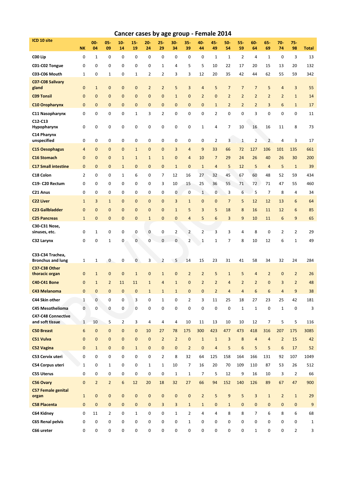|                                              |                | Cancer cases by age group - Female 2014<br>$00 -$<br>$05 -$<br>$10 -$<br>$15 -$<br>$20 -$<br>$25 -$<br>$30 -$<br>$35 -$<br>45-<br>50-<br>55<br>60-<br>65<br>$70 -$<br>$75 -$<br>40- |                |                  |                |                |                  |                |                |                |                |                |                  |                |                |                  |                |                  |
|----------------------------------------------|----------------|-------------------------------------------------------------------------------------------------------------------------------------------------------------------------------------|----------------|------------------|----------------|----------------|------------------|----------------|----------------|----------------|----------------|----------------|------------------|----------------|----------------|------------------|----------------|------------------|
| ICD 10 site                                  | <b>NK</b>      | 04                                                                                                                                                                                  | 09             | 14               | 19             | 24             | 29               | 34             | 39             | 44             | 49             | 54             | 59               | 64             | 69             | 74               | 98             | <b>Total</b>     |
| C00 Lip                                      | 0              | $\mathbf{1}$                                                                                                                                                                        | 0              | 0                | 0              | 0              | 0                | 0              | 0              | 0              | $1\,$          | $\mathbf{1}$   | $\overline{2}$   | 4              | $\mathbf{1}$   | 0                | 3              | 13               |
| C01-C02 Tongue                               | 0              | 0                                                                                                                                                                                   | 0              | 0                | 0              | 0              | $1\,$            | 4              | 5              | 5              | 10             | 22             | 17               | 20             | 15             | 13               | 20             | 132              |
| C03-C06 Mouth                                | $\mathbf{1}$   | 0                                                                                                                                                                                   | $\mathbf{1}$   | 0                | $\mathbf{1}$   | $\overline{2}$ | 2                | 3              | 3              | 12             | 20             | 35             | 42               | 44             | 62             | 55               | 59             | 342              |
| C07-C08 Salivary<br>gland                    | $\mathbf 0$    | $\mathbf{1}$                                                                                                                                                                        | $\mathbf 0$    | $\mathbf{0}$     | $\mathbf 0$    | $\overline{2}$ | $\overline{2}$   | 5              | 3              | $\overline{4}$ | 5              | $\overline{7}$ | $\overline{7}$   | $\overline{7}$ | 5              | $\overline{4}$   | 3              | 55               |
| <b>C09 Tonsil</b>                            | $\mathbf 0$    | $\mathbf{0}$                                                                                                                                                                        | $\mathbf{0}$   | $\mathbf{0}$     | $\overline{0}$ | $\mathbf{0}$   | $\overline{0}$   | $\mathbf{1}$   | $\mathbf{0}$   | $\overline{2}$ | $\mathbf 0$    | $\overline{2}$ | $\overline{2}$   | $\overline{2}$ | $\overline{2}$ | $\overline{2}$   | $\mathbf 1$    | 14               |
| <b>C10 Oropharynx</b>                        | $\mathbf 0$    | $\mathbf{0}$                                                                                                                                                                        | $\mathbf{0}$   | $\mathbf{0}$     | $\overline{0}$ | $\mathbf{0}$   | $\overline{0}$   | $\mathbf 0$    | $\overline{0}$ | $\mathbf{0}$   | $\mathbf{1}$   | $\overline{2}$ | $\overline{2}$   | $\overline{2}$ | 3              | $6\phantom{1}$   | $\mathbf 1$    | 17               |
| C11 Nasopharynx                              | 0              | 0                                                                                                                                                                                   | 0              | $\mathbf 0$      | $\mathbf{1}$   | 3              | 2                | 0              | 0              | 0              | $\overline{2}$ | 0              | 0                | 3              | 0              | 0                | 0              | 11               |
| C12-C13<br>Hypopharynx                       | 0              | 0                                                                                                                                                                                   | 0              | 0                | 0              | 0              | 0                | 0              | 0              | $\mathbf{1}$   | 4              | 7              | 10               | 16             | 16             | 11               | 8              | 73               |
| C14 Pharynx<br>unspecified                   | 0              | $\mathbf 0$                                                                                                                                                                         | 0              | 0                | 0              | $\mathbf 0$    | 0                | 0              | 0              | 0              | $\overline{2}$ | 3              | $\mathbf{1}$     | $\overline{2}$ | $\overline{2}$ | 4                | 3              | 17               |
| <b>C15 Oesophagus</b>                        | 4              | $\mathbf{0}$                                                                                                                                                                        | $\mathbf{0}$   | $\mathbf{0}$     | $\mathbf{1}$   | $\mathbf{0}$   | $\mathbf 0$      | $\overline{3}$ | $\overline{4}$ | 9              | 33             | 66             | 72               | 127            | 106            | 101              | 135            | 661              |
| <b>C16 Stomach</b>                           | $\mathbf 0$    | $\mathbf{0}$                                                                                                                                                                        | $\mathbf{0}$   | $\mathbf{1}$     | $\mathbf{1}$   | $\mathbf{1}$   | $1\,$            | $\mathbf 0$    | $\overline{4}$ | 10             | $\overline{7}$ | 29             | 24               | 26             | 40             | 26               | 30             | 200              |
| <b>C17 Small intestine</b>                   | $\mathbf 0$    | $\mathbf{0}$                                                                                                                                                                        | $\mathbf{0}$   | $\mathbf{1}$     | $\mathbf 0$    | $\mathbf{0}$   | $\mathbf 0$      | $\mathbf{1}$   | $\mathbf{0}$   | $\mathbf{1}$   | $\overline{a}$ | 5              | 12               | 5              | $\overline{4}$ | 5                | $\mathbf{1}$   | 39               |
| C18 Colon                                    | $\overline{2}$ | $\mathbf 0$                                                                                                                                                                         | 0              | 1                | 6              | 0              | 7                | 12             | 16             | 27             | 32             | 45             | 67               | 60             | 48             | 52               | 59             | 434              |
| C19-C20 Rectum                               | 0              | 0                                                                                                                                                                                   | 0              | 0                | 0              | 0              | 3                | 10             | 15             | 25             | 36             | 55             | 71               | 72             | 71             | 47               | 55             | 460              |
| C21 Anus                                     | 0              | $\mathbf 0$                                                                                                                                                                         | 0              | 0                | 0              | 0              | $\boldsymbol{0}$ | 0              | $\mathbf 0$    | $\mathbf{1}$   | 0              | 3              | 6                | 5              | $\overline{7}$ | 8                | 4              | 34               |
| <b>C22 Liver</b>                             | $\mathbf{1}$   | 3                                                                                                                                                                                   | $\mathbf{1}$   | $\mathbf{0}$     | $\mathbf{0}$   | $\mathbf{0}$   | $\mathbf{0}$     | 3              | $\mathbf{1}$   | $\mathbf{0}$   | $\mathbf{0}$   | $\overline{7}$ | 5                | 12             | 12             | 13               | 6              | 64               |
| <b>C23 Gallbladder</b>                       | $\mathbf 0$    | $\mathbf{0}$                                                                                                                                                                        | $\mathbf{0}$   | $\mathbf{0}$     | $\mathbf{0}$   | $\mathbf{0}$   | $\mathbf{0}$     | $\mathbf{1}$   | 5              | 3              | 5              | 18             | 8                | 16             | 11             | 12               | 6              | 85               |
| <b>C25 Pancreas</b>                          | $\mathbf{1}$   | $\mathbf{0}$                                                                                                                                                                        | $\mathbf{0}$   | $\mathbf{0}$     | $\mathbf{0}$   | $\mathbf{1}$   | $\mathbf{0}$     | $\mathbf 0$    | $\overline{4}$ | 5              | 6              | 3              | 9                | 10             | 11             | $\boldsymbol{6}$ | 9              | 65               |
| C30-C31 Nose,<br>sinuses, etc.               | 0              | $\mathbf{1}$                                                                                                                                                                        | 0              | 0                | $\mathbf 0$    | $\mathbf{0}$   | 0                | $\overline{2}$ | $\overline{2}$ | $\overline{2}$ | 3              | 3              | 4                | 8              | 0              | 2                | $\overline{2}$ | 29               |
| C32 Larynx                                   | $\mathbf 0$    | $\mathbf 0$                                                                                                                                                                         | $\mathbf{1}$   | 0                | $\mathbf 0$    | $\overline{0}$ | 0                | $\mathbf 0$    | $\overline{2}$ | $\mathbf{1}$   | $\mathbf{1}$   | $\overline{7}$ | 8                | 10             | 12             | 6                | $\mathbf{1}$   | 49               |
| C33-C34 Trachea,<br><b>Bronchus and lung</b> | $\mathbf{1}$   | $\mathbf{1}$                                                                                                                                                                        | 0              | 0                | $\mathbf 0$    | 3              | 2                | 5              | 14             | 15             | 23             | 31             | 41               | 58             | 34             | 32               | 24             | 284              |
| C37-C38 Other<br>thoracic organ              | 0              | $\mathbf{1}$                                                                                                                                                                        | $\mathbf{0}$   | $\mathbf 0$      | $\mathbf{1}$   | $\mathbf 0$    | $\mathbf{1}$     | $\mathbf 0$    | $\overline{2}$ | $\overline{2}$ | 5              | $\mathbf{1}$   | 5                | $\overline{4}$ | $\overline{2}$ | $\mathbf{0}$     | $\overline{2}$ | 26               |
| C40-C41 Bone                                 | $\mathbf 0$    | $\mathbf{1}$                                                                                                                                                                        | $\overline{2}$ | 11               | 11             | $\mathbf{1}$   | $\overline{4}$   | $\mathbf{1}$   | $\mathbf 0$    | $\overline{2}$ | $\overline{2}$ | 4              | $\overline{2}$   | $\overline{2}$ | $\overline{0}$ | 3                | $\overline{2}$ | 48               |
| C43 Melanoma                                 | 0              | 0                                                                                                                                                                                   | 0              | 0                | 0              | 1              | 1                | 1              | 0              | 0              | 2              | 4              | 4                | 6              | 6              | 4                | 9              | 38               |
| C44 Skin other                               | $\mathbf{1}$   | $\mathbf 0$                                                                                                                                                                         | 0              | 0                | 3              | 0              | $\mathbf 1$      | 0              | $\overline{2}$ | 3              | 11             | 25             | 18               | 27             | 23             | 25               | 42             | 181              |
| C45 Mesothelioma                             | $\mathbf 0$    | 0                                                                                                                                                                                   | 0              | 0                | 0              | 0              | $\mathbf 0$      | 0              | 0              | $\mathbf 0$    | $\bf{0}$       | 0              | $\mathbf{1}$     | $\mathbf{1}$   | $\mathbf 0$    | $\mathbf{1}$     | 0              | 3                |
| C47-C48 Connective<br>and soft tissue        | $\mathbf{1}$   | 10                                                                                                                                                                                  | 5              | $\overline{2}$   | 3              | $\overline{4}$ | 4                | $\overline{4}$ | 10             | 11             | 13             | 10             | 10               | 12             | 7              | 5                | 5              | 116              |
| <b>C50 Breast</b>                            | 6              | $\mathbf{0}$                                                                                                                                                                        | $\mathbf 0$    | $\mathbf{0}$     | $\mathbf{0}$   | 10             | 27               | 78             | 175            | 300            | 423            | 477            | 473              | 418            | 316            | 207              | 175            | 3085             |
| C51 Vulva                                    | $\overline{0}$ | $\mathbf{0}$                                                                                                                                                                        | $\mathbf 0$    | $\mathbf{0}$     | $\mathbf{0}$   | $\mathbf{0}$   | $\overline{2}$   | $\overline{2}$ | $\mathbf 0$    | $\mathbf{1}$   | $1\,$          | $\overline{3}$ | 8                | $\overline{4}$ | $\overline{4}$ | $\overline{2}$   | 15             | 42               |
| C52 Vagina                                   | $\mathbf{0}$   | $\mathbf{1}$                                                                                                                                                                        | $\mathbf 0$    | $\mathbf{0}$     | $\mathbf{1}$   | $\mathbf{0}$   | $\mathbf 0$      | $\mathbf{0}$   | $\overline{2}$ | $\mathbf{0}$   | $\overline{4}$ | 5              | $\boldsymbol{6}$ | 5              | 5              | $6\phantom{a}$   | 17             | 52               |
| C53 Cervix uteri                             | 0              | 0                                                                                                                                                                                   | 0              | 0                | $\mathbf 0$    | 0              | $\overline{2}$   | 8              | 32             | 64             | 125            | 158            | 164              | 166            | 131            | 92               | 107            | 1049             |
| C54 Corpus uteri                             | $\mathbf{1}$   | 0                                                                                                                                                                                   | $\mathbf{1}$   | 0                | 0              | $\mathbf{1}$   | $\mathbf{1}$     | 10             | 7              | 16             | 20             | 70             | 109              | 110            | 87             | 53               | 26             | 512              |
| C55 Uterus                                   | 0              | $\mathbf 0$                                                                                                                                                                         | 0              | 0                | 0              | 0              | $\boldsymbol{0}$ | $\mathbf 1$    | $1\,$          | 7              | 5              | 12             | 9                | 16             | 10             | 3                | $\overline{2}$ | 66               |
| C56 Ovary<br><b>C57 Female genital</b>       | $\mathbf{0}$   | $\overline{2}$                                                                                                                                                                      | $\overline{2}$ | $\boldsymbol{6}$ | 12             | 20             | 18               | 32             | 27             | 66             | 94             | 152            | 140              | 126            | 89             | 67               | 47             | 900              |
| organ                                        | $\mathbf{1}$   | $\mathbf{0}$                                                                                                                                                                        | $\mathbf 0$    | $\mathbf{0}$     | $\mathbf 0$    | $\mathbf{0}$   | $\mathbf{0}$     | $\pmb{0}$      | $\mathbf{0}$   | $\overline{2}$ | 5              | $9\,$          | 5                | 3              | $\mathbf 1$    | $\overline{2}$   | $\mathbf{1}$   | 29               |
| <b>C58 Placenta</b>                          | $\mathbf{0}$   | $\mathbf{0}$                                                                                                                                                                        | $\mathbf{0}$   | $\mathbf{0}$     | $\mathbf{0}$   | $\mathbf{0}$   | 3                | 3              | $\mathbf{1}$   | $\mathbf{1}$   | $\mathbf 0$    | $\mathbf{1}$   | $\mathbf{0}$     | $\mathbf{0}$   | $\mathbf 0$    | $\mathbf{0}$     | $\mathbf 0$    | $\boldsymbol{9}$ |
| C64 Kidney                                   | 0              | 11                                                                                                                                                                                  | 2              | 0                | $\mathbf{1}$   | 0              | 0                | $\mathbf{1}$   | $\overline{2}$ | 4              | 4              | 8              | 8                | $\overline{7}$ | 6              | 8                | 6              | 68               |
| C65 Renal pelvis                             | 0              | $\mathbf 0$                                                                                                                                                                         | 0              | 0                | 0              | 0              | 0                | 0              | $\mathbf{1}$   | 0              | 0              | 0              | 0                | 0              | 0              | 0                | 0              | $\mathbf{1}$     |
| C66 ureter                                   | 0              | 0                                                                                                                                                                                   | 0              | 0                | 0              | 0              | 0                | 0              | 0              | 0              | 0              | 0              | 0                | $\mathbf{1}$   | 0              | 0                | $\overline{2}$ | 3                |